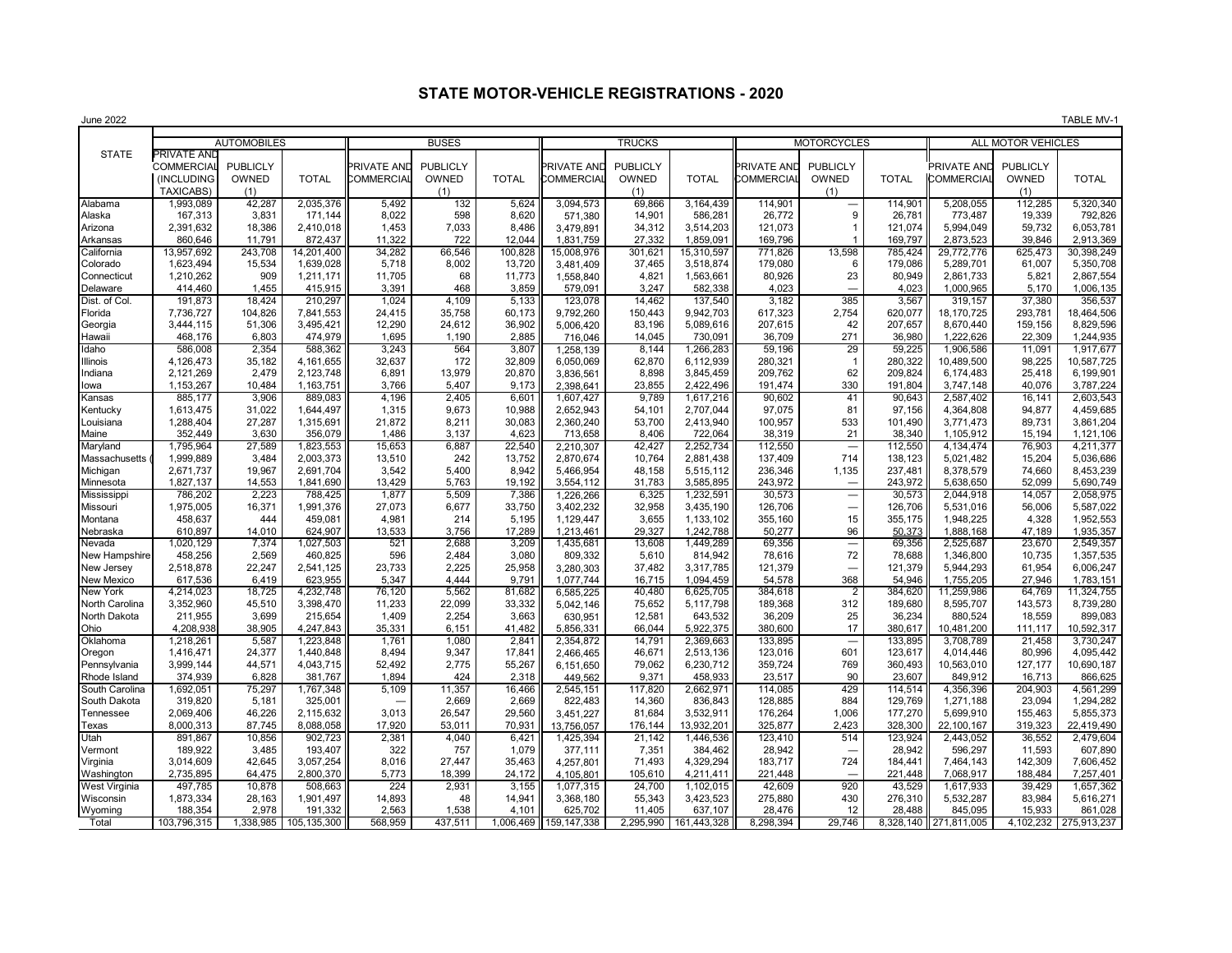## **STATE MOTOR-VEHICLE REGISTRATIONS - 2020**

June 2022 TABLE MV-1 STATE **PRIVATE AND** COMMERCIAL PUBLICLY PRIVATE AND PUBLICLY PRIVATE AND PUBLICLY PRIVATE AND PUBLICLY PRIVATE AND PUBLICLY (INCLUDING OWNED TOTAL COMMERCIAL OWNED TOTAL COMMERCIAL OWNED TOTAL COMMERCIAL OWNED TOTAL COMMERCIAL OWNED TOTAL TAXICABS) (1) (1) (1) (1) (1) Alabama | 1,993,089 | 42,287 | 2,035,376 || 5,492 | 132 | 5,624 || 3,094,573 | 69,866 | 3,164,439 || 114,901 | — | 114,901 || 5,208,055 | 112,285 | 5,320,340 Alaska | 167,313 | 3,831 171,144 || 8,022 | 598 | 8,620 || 571,380 | 14,901 | 586,281 || 26,772 | 9 | 26,781 || 773,487 | 19,339 | 792,826 Arizona | 2,391,632 | 18,386 | 2,410,018 || 1,453 | 7,033 | 8,486 || 3,479,891 | 34,312 3,514,203 || 121,073 | 1 121,074 || 5,994,049 | 59,732 | 6,053,781 Arkansas | 860,646 | 11,791 872,437 || 11,322 | 722 | 12,044 || 1,831,759 | 27,332 | 1,859,091 || 169,796 | 1 | 169,797 || 2,873,523 | 39,846 | 2,913,369 California | 13,957,692 | 243,708 14,201,400 || 34,282 | 66,546 | 100,828 || 15,008,976 | 301,621 | 15,310,597 || 771,826 | 13,598 | 785,424 || 29,772,776 | 625,473 | 30,398,249 Colorado | 1,623,494 | 15,534 | 1,639,028 || 5,718 | 8,002 | 13,720 || 3,481,409 | 37,465 | 3,518,874 || 179,080 | 6 | 179,086 || 5,289,701 | 61,007 | 5,350,708 Connecticut | 1,210,262 | 909 | 1,211,171 || 11,705 | 68 | 11,773 || 1,558,840 | 4,821 1,563,661 || 80,926 | 23 | 80,949 || 2,861,733 | 5,821 | 2,867,554 Delaware | 414,460 | 1,455 | 415,915 || 3,391 | 468 | 3,859 || 579,091 | 3,247 | 582,338 || 4,023 || - | 4,023 || 1,000,965 | 5,170 | 1,006,135 Dist. of Col. | 191,873 | 18,424 | 210,297 || 1,024 | 4,109 | 5,133 || 123,078 | 14,462 | 137,540 || 3,182 | 385 | 3,567 || 319,157 | 37,380 | 356,537 Florida | 7,736,727 | 104,826 | 7,841,553 || 24,415 | 35,758 | 60,173 || 9,792,260 | 150,443 | 9,942,703 || 617,323 | 2,754 | 620,077 || 18,170,725 | 293,781 | 18,464,506 Georgia | 3,444,115 | 51,306 3,495,421 || 12,290 | 24,612 | 36,902 || 5,006,420 | 83,196 5,089,616 || 207,615 | 42 | 207,657 || 8,670,440 | 159,156 | 8,829,596 Hawaii | 468,176 | 6,803 |474,979 || 1,695 | 1,190 | 2,885 || 716,046 | 14,045 | 730,091 || 36,709 | 271 | 36,980 || 1,222,626 | 22,309 | 1,244,935 Idaho | 586,008 | 2,354 588,362 || 3,243 | 564 | 3,807 || 1,258,139 | 8,144 1,266,283 || 59,196 | 29 | 59,225 || 1,006,586 | 11,091 1,917,677 Illinois | 4,126,473 | 35,182 | 4,161,655 || 32,637 | 172 | 32,809 || 6,050,069 | 62,870 | 280,1799 || 280,321 | 1 | 280,322 || 10,489,500 | 98,225 | 10,587,725 Indiana 2,121,269 2,479 2,123,748 6,891 13,979 20,870 3,836,561 8,898 3,845,459 209,762 62 209,824 6,174,483 25,418 6,199,901 Iowa 1,153,267 10,484 1,163,751 3,766 5,407 9,173 2,398,641 23,855 2,422,496 191,474 330 191,804 3,747,148 40,076 3,787,224 Kansas | 885,177 | 3,906 889,083 || 4,196 | 2,405 | 6,601 || 1,607,427 | 9,789 1,617,216 || 90,602 | 41 | 90,643 || 2,587,402 | 16,141 | 2,603,543 Kentucky | 1,613,475 | 31,022 | 1,644,497 || 1,315 | 9,673 | 10,988 || 2,652,943 | 54,101 | 2,707,044 || 97,075 | 81 | 97,156 || 4,364,808 | 94,877 | 4,459,685 Louisiana | 1,288,404 | 27,287 |1,315,691 || 21,872 | 8,211 | 30,083 || 2,360,240 | 53,700 | 2,413,940 || 100,957 | 533 | 101,490 || 3,771,473 | 89,731 | 3,861,204 Maine | 352,449 | 3,630 | 356,079 || 1,486 | 3,137 | 4,623 || 713,658 | 8,406 | 722,064 || 38,319 | 21 | 38,340 || 1,105,912 | 15,194 |1,121,106 Maryland | 1,795,964 | 27,589 |1,823,553 || 15,653 | 6,887 | 22,540 || 2,210,307 | 42,427 |2,252,734 || 112,550 | — | 112,550 || 4,134,474 | 76,903 | 4,211,377 Massachusetts (] 1,999,889 | 3,484 | 2,003,373 || 13,510 | 242 | 13,752 || 2,870,674 | 10,764 | 2,881,438 || 137,409 | 714 | 138,123 || 5,021,482 | 15,204 | 5,036,686 Michigan | 2,671,737 | 19,967 | 2,691,704 || 3,542 | 5,400 | 8,942 || 5,466,954 | 48,158 | 5,515,112 || 236,346 | 1,135 | 237,481 || 8,378,579 | 74,660 | 8,453,239 Minnesota | 1,827,137 | 14,553 | 1,841,690 || 13,429 | 5,763 | 19,192 || 3,554,112 | 31,783 3,585,895 || 243,972 | — | 243,972 || 5,638,650 | 52,099 | 5,690,749 Mississippi | 786,202 | 2,223 | 788,425 || 1,877 | 5,509 | 7,386 || 1,226,266 | 6,325 1,232,591 || 30,573 | — | 30,573 || 2,044,918 | 14,057 |2,058,975 Missouri | 1,975,005 | 16,371 | 1,991,376 || 27,073 | 6,677 | 33,750 || 3,402,232 | 32,958 | 3,435,190 || 126,706 |  $-$  | 126,706 || 5,531,016 | 56,006 | 5,587,022 Montana | 458,637 | 444 | 459,081 || 4,981 | 214 | 5,195 | 1,129,447 | 3,655 | 1,133,102 || 355,160 | 15 | 355,175 || 1,948,225 | 4,328 | 1,952,553 Nebraska | 610,897 | 14,010 | 624,907 || 13,533 | 3,756 | 17,289 || 1,213,461 | 29,327 | 1,242,788 || 50,277 | 96 | <u>50,373 ||</u> 1,888,168 | 47,189 | 1,935,357 Nevada | 1,020,129 | 7,374 | 1,027,503 || 521 | 2,688 | 3,209 || 1,435,681 | 13,608 | 1,449,289 || 69,356 | — | 69,356 || 2,525,687 | 23,670 | 2,549,357 New Hampshire 458,256 2,569 460,825 596 2,484 3,080 809,332 5,610 814,942 78,616 72 78,688 1,346,800 10,735 1,357,535 New Jersey | 2,518,878 | 22,247 | 2,541,125 || 23,733 | 2,225 | 25,958 || 3,280,303 | 37,482 3,317,785 || 121,379 | | 121,379 || 5,944,293 | 61,954 | 6,006,247 New Mexico | 617,536 | 6,419 623,955 || 5,347 | 4,444 | 9,791 || 1,077,744 | 16,715 1,094,459 || 54,578 || 368 || 54,946 || 1,755,205 || 27,946 || 1,783,151 New York | 4,214,023 | 18,725 4,232,748 || 76,120 | 5,562 | 81,682 || 6,585,225 | 40,480 | 6,625,705 || 384,618 | 2 | 384,620 || 11,259,986 | 64,769 | 11,324,755 North Carolina | 3,352,960 | 45,510 | 3,398,470 || 11,233 | 22,099 | 33,332 || 5,042,146 | 75,652 | 5,117,798 || 189,368 | 312 | 189,680 || 8,595,707 | 143,573 | 8,739,280 North Dakota | 211,955 | 3,699 | 215,654 || 1,409 | 2,254 | 3,663 || 630,951 | 12,581 | 643,532 || 36,209 | 25 | 36,234 || 880,524 | 18,559 | 899,083 Ohio | 4,208,938| 38,905 4,247,843 || 35,331 6,151 41,482 || 5,856,331 66,044 5,922,375 || 380,600 | 17 | 380,617 || 10,481,200 | 111,117 | 10,592,317 Oklahoma 1,218,261 5,587 1,223,848 1,761 1,080 2,841 2,354,872 14,791 2,369,663 133,895 — 133,895 3,708,789 21,458 3,730,247 Oregon | 1,416,471 | 24,377 | 1,440,848 || 8,494 | 9,347 | 17,841 || 2,466,465 | 46,671 | 2,513,136 || 123,016 | 601 | 123,617 || 4,014,446 | 80,996 | 4,095,442 Pennsylvania | 3,999,144 | 44,571 | 4,043,715 || 52,492 | 2,775 | 55,267 || 6,151,650 | 79,062 | 6,230,712 || 359,724 | 769 | 360,493 || 10,563,010 | 127,177 | 10,690,187 Rhode Island | 374,939 | 6,828 | 381,767 || 1,894 | 424 | 2,318 || 449,562 | 9,371 | 458,933 || 23,517 | 90 | 23,607 || 849,912 | 16,713 | 866,625 South Carolina | 1,692,051 | 75,297 | 1,767,348 || 5,109 | 11,357 | 16,466 || 2,545,151 | 117,820 | 2,662,971 || 114,085 | 429 | 114,514 || 4,356,396 | 204,903 | 4,561,299 South Dakota | 319,820 | 5,181 | 325,001 || — | 2,669 | 2,669 || 822,483 | 14,360 | 836,843 || 128,885 | 884 | 129,769 || 1,271,188 | 23,094 | 1,294,282 Tennessee | 2,069,406 | 46,226 |2,115,632 || 3,013 | 26,547 | 29,560 ||3,451,227 | 81,684 3,532,911 || 176,264 | 1,006 | 177,270 || 5,699,910 | 155,463 | 5,855,373 Texas | 8,000,313 | 87,745 | 8,088,058 || 17,920 | 53,011 | 70,931 || 13,756,057 | 176,144 | 13,932,201 || 325,877 | 2,423 | 328,300 || 22,100,167 | 319,323 | 22,419,490 Utah | 891,867 | 10,856 | 902,723 || 2,381 | 4,040 | 6,421 || 1,425,394 | 21,142 | 1,446,536 || 123,410 | 514 | 123,924 || 2,443,052 | 36,552 | 2,479,604 Vermont | 189,922 | 3,485 | 193,407 || 322 | 757 | 1,079 || 377,111 | 7,351 | 384,462 || 28,942 | — | 28,942 || 596,297 | 11,593 | 607,890 Virginia | 3,014,609 | 42,645 | 3,057,254 || 8,016 | 27,447 | 35,463 || 4,257,801 | 71,493 | 4,329,294 || 183,717 | 724 | 184,441 || 7,464,143 | 142,309 | 7,606,452 Washington | 2,735,895 | 64,475 | 2,800,370 || 5,773 | 18,399 | 24,172 || 4,105,801 | 105,610 | 4,211,411 || 221,448 |  $-$  | 221,448 | 7,068,917 | 188,484 | 7,257,401 West Virginia | 497,785 | 10,878 | 508,663 || 224 | 2,931 | 3,155 || 1,077,315 | 24,700 | 1,102,015 || 42,609 | 920 | 43,529 || 1,617,933 | 39,429 | 1,657,362 Wisconsin | 1,873,334 | 28,163 | 1,901,497 || 14,893 | 48 | 14,941 || 3,368,180 | 55,343 | 3,423,523 || 275,880 | 430 | 276,310 || 5,532,287 | 83,984 | 5,616,271 AUTOMOBILES **II** BUSES II TRUCKS II MOTORCYCLES II ALL MOTOR VEHICLES

Wyoming | 188,354 | 2,978 | 191,332 || 2,563 | 1,538 | 4,101 || 625,702 | 11,405 | 637,107 || 28,476 | 12 | 28,488 || 845,095 | 15,933 | 861,028 Total | 103,796,315 | 1,338,985 | 105,135,300 || 568,959 | 437,511 | 1,006,469 || 159,147,338 | 2,295,990 | 161,443,328 || 8,298,394 | 29,746 | 8,328,140 || 271,811,005 | 4,102,232 | 275,913,237